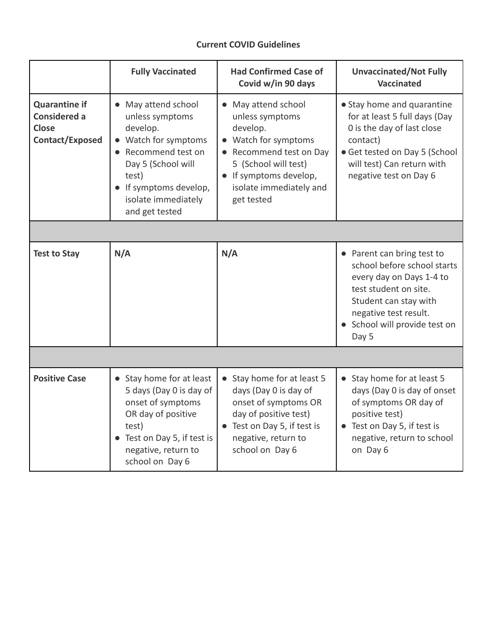# **Current COVID Guidelines**

|                                                                                       | <b>Fully Vaccinated</b>                                                                                                                                                                             | <b>Had Confirmed Case of</b><br>Covid w/in 90 days                                                                                                                                       | <b>Unvaccinated/Not Fully</b><br><b>Vaccinated</b>                                                                                                                                                         |
|---------------------------------------------------------------------------------------|-----------------------------------------------------------------------------------------------------------------------------------------------------------------------------------------------------|------------------------------------------------------------------------------------------------------------------------------------------------------------------------------------------|------------------------------------------------------------------------------------------------------------------------------------------------------------------------------------------------------------|
| <b>Quarantine if</b><br><b>Considered a</b><br><b>Close</b><br><b>Contact/Exposed</b> | • May attend school<br>unless symptoms<br>develop.<br>• Watch for symptoms<br>• Recommend test on<br>Day 5 (School will<br>test)<br>• If symptoms develop,<br>isolate immediately<br>and get tested | May attend school<br>unless symptoms<br>develop.<br>Watch for symptoms<br>Recommend test on Day<br>5 (School will test)<br>If symptoms develop,<br>isolate immediately and<br>get tested | • Stay home and quarantine<br>for at least 5 full days (Day<br>0 is the day of last close<br>contact)<br>• Get tested on Day 5 (School<br>will test) Can return with<br>negative test on Day 6             |
|                                                                                       |                                                                                                                                                                                                     |                                                                                                                                                                                          |                                                                                                                                                                                                            |
| <b>Test to Stay</b>                                                                   | N/A                                                                                                                                                                                                 | N/A                                                                                                                                                                                      | • Parent can bring test to<br>school before school starts<br>every day on Days 1-4 to<br>test student on site.<br>Student can stay with<br>negative test result.<br>• School will provide test on<br>Day 5 |
|                                                                                       |                                                                                                                                                                                                     |                                                                                                                                                                                          |                                                                                                                                                                                                            |
| <b>Positive Case</b>                                                                  | • Stay home for at least<br>5 days (Day 0 is day of<br>onset of symptoms<br>OR day of positive<br>test)<br>• Test on Day 5, if test is<br>negative, return to<br>school on Day 6                    | Stay home for at least 5<br>days (Day 0 is day of<br>onset of symptoms OR<br>day of positive test)<br>Test on Day 5, if test is<br>negative, return to<br>school on Day 6                | • Stay home for at least 5<br>days (Day 0 is day of onset<br>of symptoms OR day of<br>positive test)<br>• Test on Day 5, if test is<br>negative, return to school<br>on Day 6                              |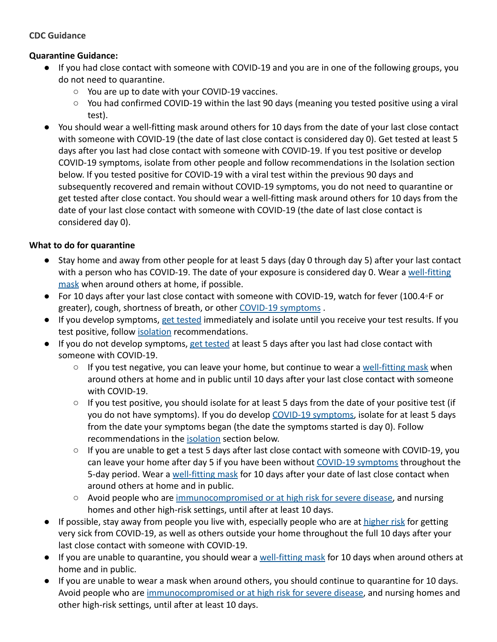#### **CDC Guidance**

#### **Quarantine Guidance:**

- If you had close contact with someone with COVID-19 and you are in one of the following groups, you do not need to quarantine.
	- You are up to date with your COVID-19 vaccines.
	- You had confirmed COVID-19 within the last 90 days (meaning you tested positive using a viral test).
- You should wear a well-fitting mask around others for 10 days from the date of your last close contact with someone with COVID-19 (the date of last close contact is considered day 0). Get tested at least 5 days after you last had close contact with someone with COVID-19. If you test positive or develop COVID-19 symptoms, isolate from other people and follow recommendations in the Isolation section below. If you tested positive for COVID-19 with a viral test within the previous 90 days and subsequently recovered and remain without COVID-19 symptoms, you do not need to quarantine or get tested after close contact. You should wear a well-fitting mask around others for 10 days from the date of your last close contact with someone with COVID-19 (the date of last close contact is considered day 0).

### **What to do for quarantine**

- Stay home and away from other people for at least 5 days (day 0 through day 5) after your last contact with a person who has COVID-19. The date of your exposure is considered day 0. Wear a [well-fitting](https://www.cdc.gov/coronavirus/2019-ncov/your-health/effective-masks.html) [mask](https://www.cdc.gov/coronavirus/2019-ncov/your-health/effective-masks.html) when around others at home, if possible.
- For 10 days after your last close contact with someone with COVID-19, watch for fever (100.4◦F or greater), cough, shortness of breath, or other COVID-19 [symptoms](https://www.cdc.gov/coronavirus/2019-ncov/symptoms-testing/symptoms.html) .
- If you develop symptoms, [get tested](https://www.cdc.gov/coronavirus/2019-ncov/testing/diagnostic-testing.html) immediately and isolate until you receive your test results. If you test positive, follow [isolation](https://www.cdc.gov/coronavirus/2019-ncov/your-health/quarantine-isolation.html#isolate) recommendations.
- If you do not develop symptoms, [get tested](https://www.cdc.gov/coronavirus/2019-ncov/testing/diagnostic-testing.html) at least 5 days after you last had close contact with someone with COVID-19.
	- $\circ$  If you test negative, you can leave your home, but continue to wear a [well-fitting mask](https://www.cdc.gov/coronavirus/2019-ncov/your-health/effective-masks.html) when around others at home and in public until 10 days after your last close contact with someone with COVID-19.
	- $\circ$  If you test positive, you should isolate for at least 5 days from the date of your positive test (if you do not have symptoms). If you do develop COVID-19 [symptoms,](https://www.cdc.gov/coronavirus/2019-ncov/symptoms-testing/symptoms.html) isolate for at least 5 days from the date your symptoms began (the date the symptoms started is day 0). Follow recommendations in the **[isolation](https://www.cdc.gov/coronavirus/2019-ncov/your-health/quarantine-isolation.html#isolate)** section below.
	- If you are unable to get a test 5 days after last close contact with someone with COVID-19, you can leave your home after day 5 if you have been without [COVID-19 symptoms](https://www.cdc.gov/coronavirus/2019-ncov/symptoms-testing/symptoms.html) throughout the 5-day period. Wear a [well-fitting mask](https://www.cdc.gov/coronavirus/2019-ncov/your-health/effective-masks.html) for 10 days after your date of last close contact when around others at home and in public.
	- Avoid people who are [immunocompromised or at high](https://www.cdc.gov/coronavirus/2019-ncov/need-extra-precautions/people-with-medical-conditions.html) risk for severe disease, and nursing homes and other high-risk settings, until after at least 10 days.
- If possible, stay away from people you live with, especially people who are at [higher risk](https://www.cdc.gov/coronavirus/2019-ncov/need-extra-precautions/index.html) for getting very sick from COVID-19, as well as others outside your home throughout the full 10 days after your last close contact with someone with COVID-19.
- If you are unable to quarantine, you should wear a [well-fitting mask](https://www.cdc.gov/coronavirus/2019-ncov/your-health/effective-masks.html) for 10 days when around others at home and in public.
- If you are unable to wear a mask when around others, you should continue to quarantine for 10 days. Avoid people who are [immunocompromised or at high](https://www.cdc.gov/coronavirus/2019-ncov/need-extra-precautions/people-with-medical-conditions.html) risk for severe disease, and nursing homes and other high-risk settings, until after at least 10 days.